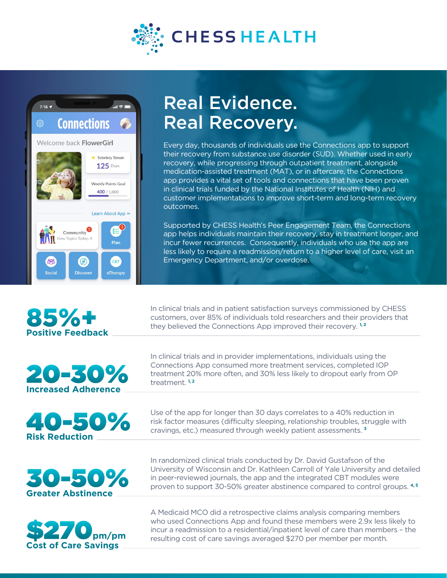



## Real Evidence. Real Recovery.

Every day, thousands of individuals use the Connections app to support their recovery from substance use disorder (SUD). Whether used in early recovery, while progressing through outpatient treatment, alongside medication-assisted treatment (MAT), or in aftercare, the Connections app provides a vital set of tools and connections that have been proven in clinical trials funded by the National Institutes of Health (NIH) and customer implementations to improve short-term and long-term recovery outcomes.

Supported by CHESS Health's Peer Engagement Team, the Connections app helps individuals maintain their recovery, stay in treatment longer, and incur fewer recurrences. Consequently, individuals who use the app are less likely to require a readmission/return to a higher level of care, visit an Emergency Department, and/or overdose.

In clinical trials and in patient satisfaction surveys commissioned by CHESS customers, over 85% of individuals told researchers and their providers that they believed the Connections App improved their recovery. **1, 2**

In clinical trials and in provider implementations, individuals using the Connections App consumed more treatment services, completed IOP treatment 20% more often, and 30% less likely to dropout early from OP treatment. **1, 2**

Use of the app for longer than 30 days correlates to a 40% reduction in risk factor measures (difficulty sleeping, relationship troubles, struggle with cravings, etc.) measured through weekly patient assessments. **<sup>3</sup>**

30-50% **Greater Abstinence**

40-50%

**Risk Reduction**



In randomized clinical trials conducted by Dr. David Gustafson of the University of Wisconsin and Dr. Kathleen Carroll of Yale University and detailed in peer-reviewed journals, the app and the integrated CBT modules were proven to support 30-50% greater abstinence compared to control groups.  $4,5$ 

A Medicaid MCO did a retrospective claims analysis comparing members who used Connections App and found these members were 2.9x less likely to incur a readmission to a residential/inpatient level of care than members – the resulting cost of care savings averaged \$270 per member per month.



85%+

**Positive Feedback**